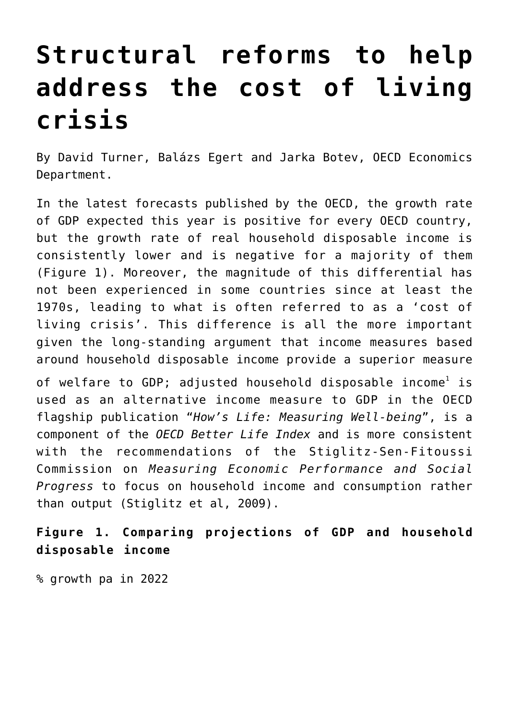## **[Structural reforms to help](https://oecdecoscope.blog/2022/06/22/structural-reforms-to-help-address-the-cost-of-living-crisis/) [address the cost of living](https://oecdecoscope.blog/2022/06/22/structural-reforms-to-help-address-the-cost-of-living-crisis/) [crisis](https://oecdecoscope.blog/2022/06/22/structural-reforms-to-help-address-the-cost-of-living-crisis/)**

By David Turner, Balázs Egert and Jarka Botev, OECD Economics Department.

In the latest forecasts published by the OECD, the growth rate of GDP expected this year is positive for every OECD country, but the growth rate of real household disposable income is consistently lower and is negative for a majority of them (Figure 1). Moreover, the magnitude of this differential has not been experienced in some countries since at least the 1970s, leading to what is often referred to as a 'cost of living crisis'. This difference is all the more important given the long-standing argument that income measures based around household disposable income provide a superior measure

of welfare to GDP; adjusted household disposable income $^{\rm l}$  is used as an alternative income measure to GDP in the OECD flagship publication "*How's Life: Measuring Well-being*", is a component of the *OECD Better Life Index* and is more consistent with the recommendations of the Stiglitz-Sen-Fitoussi Commission on *Measuring Economic Performance and Social Progress* to focus on household income and consumption rather than output (Stiglitz et al, 2009).

**Figure 1. Comparing projections of GDP and household disposable income**

% growth pa in 2022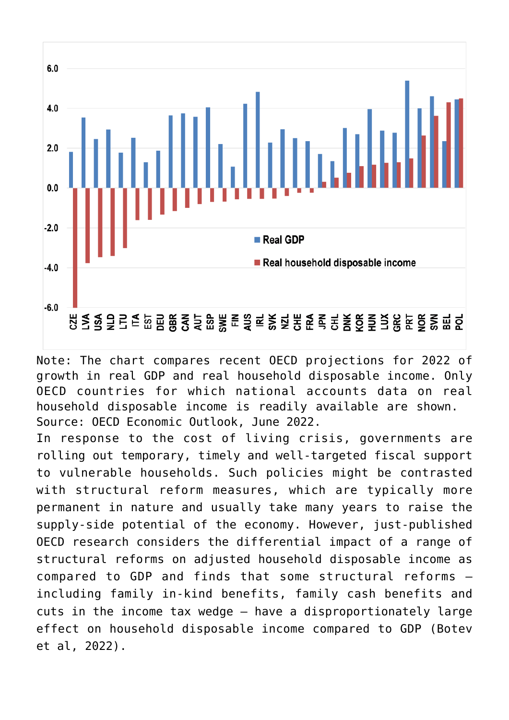

Note: The chart compares recent OECD projections for 2022 of growth in real GDP and real household disposable income. Only OECD countries for which national accounts data on real household disposable income is readily available are shown. Source: OECD Economic Outlook, June 2022.

In response to the cost of living crisis, governments are rolling out temporary, timely and well-targeted fiscal support to vulnerable households. Such policies might be contrasted with structural reform measures, which are typically more permanent in nature and usually take many years to raise the supply-side potential of the economy. However, just-published OECD research considers the differential impact of a range of structural reforms on adjusted household disposable income as compared to GDP and finds that some structural reforms including family in-kind benefits, family cash benefits and cuts in the income tax wedge — have a disproportionately large effect on household disposable income compared to GDP (Botev et al, 2022).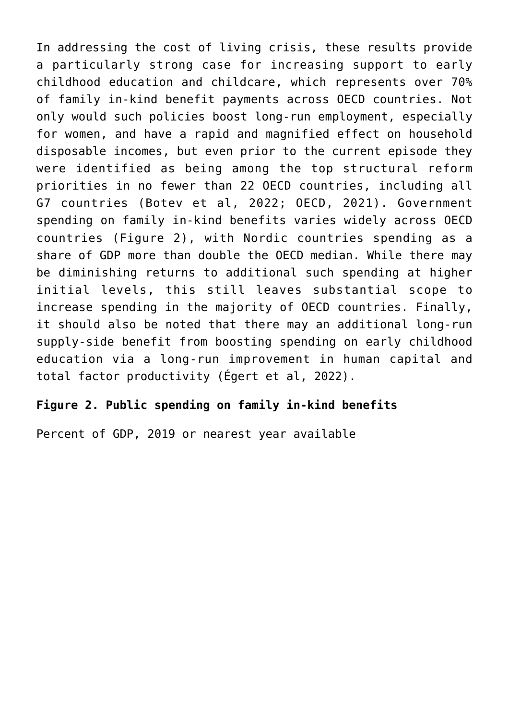In addressing the cost of living crisis, these results provide a particularly strong case for increasing support to early childhood education and childcare, which represents over 70% of family in-kind benefit payments across OECD countries. Not only would such policies boost long-run employment, especially for women, and have a rapid and magnified effect on household disposable incomes, but even prior to the current episode they were identified as being among the top structural reform priorities in no fewer than 22 OECD countries, including all G7 countries (Botev et al, 2022; OECD, 2021). Government spending on family in-kind benefits varies widely across OECD countries (Figure 2), with Nordic countries spending as a share of GDP more than double the OECD median. While there may be diminishing returns to additional such spending at higher initial levels, this still leaves substantial scope to increase spending in the majority of OECD countries. Finally, it should also be noted that there may an additional long-run supply-side benefit from boosting spending on early childhood education via a long-run improvement in human capital and total factor productivity (Égert et al, 2022).

## **Figure 2. Public spending on family in-kind benefits**

Percent of GDP, 2019 or nearest year available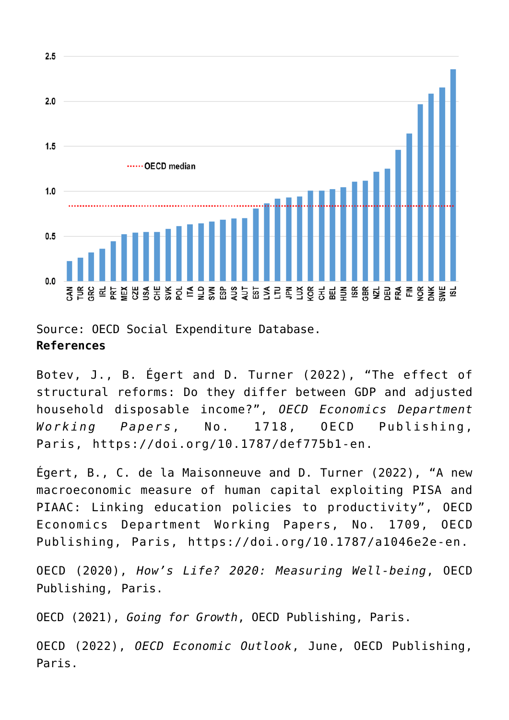

Source: OECD Social Expenditure Database. **References**

Botev, J., B. Égert and D. Turner (2022), "The effect of structural reforms: Do they differ between GDP and adjusted household disposable income?", *OECD Economics Department Working Papers*, No. 1718, OECD Publishing, Paris, [https://doi.org/10.1787/def775b1-en.](https://doi.org/10.1787/def775b1-en)

Égert, B., C. de la Maisonneuve and D. Turner (2022), "A new macroeconomic measure of human capital exploiting PISA and PIAAC: Linking education policies to productivity", OECD Economics Department Working Papers, No. 1709, OECD Publishing, Paris, <https://doi.org/10.1787/a1046e2e-en>.

OECD (2020), *[How's Life? 2020: Measuring Well-being](https://doi.org/10.1787/9870c393-en.)*, OECD Publishing, Paris.

OECD (2021), *[Going for Growth](https://www.oecd.org/economy/going-for-growth/)*, OECD Publishing, Paris.

OECD (2022), *[OECD Economic Outlook](https://www.oecd.org/economic-outlook/)*, June, OECD Publishing, Paris.